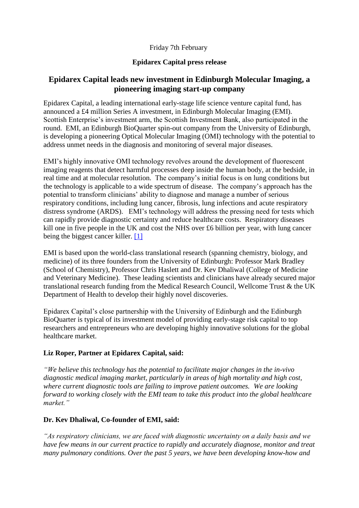Friday 7th February

### **Epidarex Capital press release**

# **Epidarex Capital leads new investment in Edinburgh Molecular Imaging, a pioneering imaging start-up company**

Epidarex Capital, a leading international early-stage life science venture capital fund, has announced a £4 million Series A investment, in Edinburgh Molecular Imaging (EMI). Scottish Enterprise's investment arm, the Scottish Investment Bank, also participated in the round. EMI, an Edinburgh BioQuarter spin-out company from the University of Edinburgh, is developing a pioneering Optical Molecular Imaging (OMI) technology with the potential to address unmet needs in the diagnosis and monitoring of several major diseases.

EMI's highly innovative OMI technology revolves around the development of fluorescent imaging reagents that detect harmful processes deep inside the human body, at the bedside, in real time and at molecular resolution. The company's initial focus is on lung conditions but the technology is applicable to a wide spectrum of disease. The company's approach has the potential to transform clinicians' ability to diagnose and manage a number of serious respiratory conditions, including lung cancer, fibrosis, lung infections and acute respiratory distress syndrome (ARDS). EMI's technology will address the pressing need for tests which can rapidly provide diagnostic certainty and reduce healthcare costs. Respiratory diseases kill one in five people in the UK and cost the NHS over £6 billion per year, with lung cancer being the biggest cancer killer. [1]

EMI is based upon the world-class translational research (spanning chemistry, biology, and medicine) of its three founders from the University of Edinburgh: Professor Mark Bradley (School of Chemistry), Professor Chris Haslett and Dr. Kev Dhaliwal (College of Medicine and Veterinary Medicine). These leading scientists and clinicians have already secured major translational research funding from the Medical Research Council, Wellcome Trust & the UK Department of Health to develop their highly novel discoveries.

Epidarex Capital's close partnership with the University of Edinburgh and the Edinburgh BioQuarter is typical of its investment model of providing early-stage risk capital to top researchers and entrepreneurs who are developing highly innovative solutions for the global healthcare market.

# **Liz Roper, Partner at Epidarex Capital, said:**

*"We believe this technology has the potential to facilitate major changes in the in-vivo diagnostic medical imaging market, particularly in areas of high mortality and high cost, where current diagnostic tools are failing to improve patient outcomes. We are looking forward to working closely with the EMI team to take this product into the global healthcare market."*

#### **Dr. Kev Dhaliwal, Co-founder of EMI, said:**

*"As respiratory clinicians, we are faced with diagnostic uncertainty on a daily basis and we have few means in our current practice to rapidly and accurately diagnose, monitor and treat many pulmonary conditions. Over the past 5 years, we have been developing know-how and*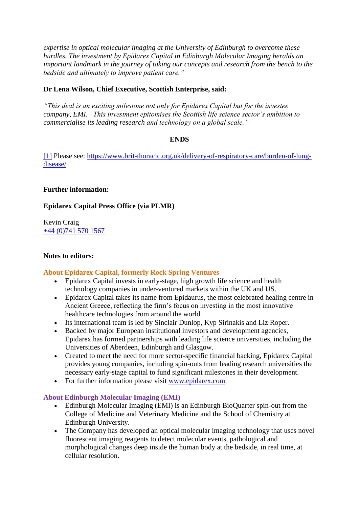*expertise in optical molecular imaging at the University of Edinburgh to overcome these hurdles. The investment by Epidarex Capital in Edinburgh Molecular Imaging heralds an important landmark in the journey of taking our concepts and research from the bench to the bedside and ultimately to improve patient care."* 

### **Dr Lena Wilson, Chief Executive, Scottish Enterprise, said:**

*"This deal is an exciting milestone not only for Epidarex Capital but for the investee company, EMI. This investment epitomises the Scottish life science sector's ambition to commercialise its leading research and technology on a global scale."*

#### **ENDS**

[\[1\]](https://mail.google.com/mail/?ui=2&shva=1#_ftnref1) Please see: [https://www.brit-thoracic.org.uk/delivery-of-respiratory-care/burden-of-lung](https://www.brit-thoracic.org.uk/delivery-of-respiratory-care/burden-of-lung-disease/)[disease/](https://www.brit-thoracic.org.uk/delivery-of-respiratory-care/burden-of-lung-disease/)

#### **Further information:**

#### **Epidarex Capital Press Office (via PLMR)**

Kevin Craig [+44 \(0\)741 570 1567](tel:%2B44%20%280%29741%20570%201567)

#### **Notes to editors:**

#### **About Epidarex Capital, formerly Rock Spring Ventures**

- Epidarex Capital invests in early-stage, high growth life science and health technology companies in under-ventured markets within the UK and US.
- Epidarex Capital takes its name from Epidaurus, the most celebrated healing centre in Ancient Greece, reflecting the firm's focus on investing in the most innovative healthcare technologies from around the world.
- Its international team is led by Sinclair Dunlop, Kyp Sirinakis and Liz Roper.
- Backed by major European institutional investors and development agencies, Epidarex has formed partnerships with leading life science universities, including the Universities of Aberdeen, Edinburgh and Glasgow.
- Created to meet the need for more sector-specific financial backing, Epidarex Capital provides young companies, including spin-outs from leading research universities the necessary early-stage capital to fund significant milestones in their development.
- For further information please visit [www.epidarex.com](http://www.epidarex.com/)

#### **About Edinburgh Molecular Imaging (EMI)**

- Edinburgh Molecular Imaging (EMI) is an Edinburgh BioQuarter spin-out from the College of Medicine and Veterinary Medicine and the School of Chemistry at Edinburgh University.
- The Company has developed an optical molecular imaging technology that uses novel fluorescent imaging reagents to detect molecular events, pathological and morphological changes deep inside the human body at the bedside, in real time, at cellular resolution.